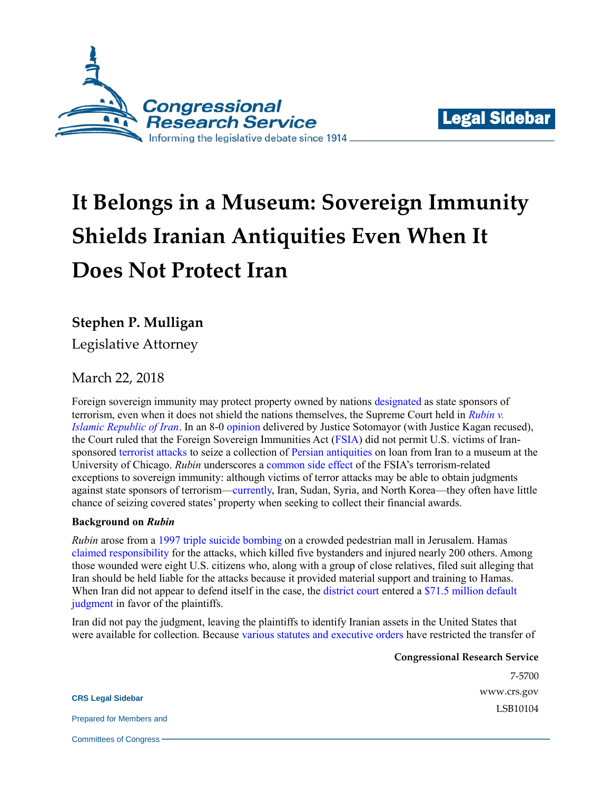



# **It Belongs in a Museum: Sovereign Immunity Shields Iranian Antiquities Even When It Does Not Protect Iran**

## **Stephen P. Mulligan**

Legislative Attorney

## March 22, 2018

Foreign sovereign immunity may protect property owned by nations [designated](https://www.state.gov/j/ct/list/c14151.htm) as state sponsors of terrorism, even when it does not shield the nations themselves, the Supreme Court held in *[Rubin v.](http://www.scotusblog.com/case-files/cases/rubin-v-islamic-republic-of-iran-2/)  [Islamic Republic of Iran](http://www.scotusblog.com/case-files/cases/rubin-v-islamic-republic-of-iran-2/)*. In an 8-0 [opinion](https://www.supremecourt.gov/opinions/17pdf/16-534_6jfm.pdf) delivered by Justice Sotomayor (with Justice Kagan recused), the Court ruled that the Foreign Sovereign Immunities Act [\(FSIA\)](https://www.law.cornell.edu/uscode/text/28/part-IV/chapter-97) did not permit U.S. victims of Iransponsored [terrorist attacks](http://www.nytimes.com/1997/09/05/world/3-bombers-in-suicide-attack-kill-4-on-jerusalem-street-in-another-blow-to-peace.html) to seize a collection of [Persian antiquities](https://oi.uchicago.edu/collections/tablet-collection-and-tablet-room) on loan from Iran to a museum at the University of Chicago. *Rubin* underscores a [common side effect](http://www.crs.gov/Reports/IF10341) of the FSIA's terrorism-related exceptions to sovereign immunity: although victims of terror attacks may be able to obtain judgments against state sponsors of terrorism[—currently,](https://www.state.gov/j/ct/list/c14151.htm) Iran, Sudan, Syria, and North Korea—they often have little chance of seizing covered states' property when seeking to collect their financial awards.

### **Background on** *Rubin*

*Rubin* arose from a [1997 triple suicide bombing](http://news.bbc.co.uk/onthisday/hi/dates/stories/september/4/newsid_2499000/2499009.stm) on a crowded pedestrian mall in Jerusalem. Hamas [claimed responsibility](http://www.cnn.com/WORLD/9709/04/israel.blast.930/) for the attacks, which killed five bystanders and injured nearly 200 others. Among those wounded were eight U.S. citizens who, along with a group of close relatives, filed suit alleging that Iran should be held liable for the attacks because it provided material support and training to Hamas. When Iran did not appear to defend itself in the case, the [district court](https://www.courtlistener.com/opinion/2493957/campuzano-v-islamic-republic-of-iran/) entered a \$71.5 million default [judgment](http://www.scotusblog.com/wp-content/uploads/2016/10/16-534-opinion-below-7th-cir.pdf#page=2) in favor of the plaintiffs.

Iran did not pay the judgment, leaving the plaintiffs to identify Iranian assets in the United States that were available for collection. Because [various statutes and executive orders](https://www.treasury.gov/resource-center/sanctions/Programs/Pages/iran.aspx) have restricted the transfer of

> **Congressional Research Service** 7-5700 [www.crs.gov](http://www.crs.gov/)

> > LSB10104

**CRS Legal Sidebar**

Prepared for Members and

Committees of Congress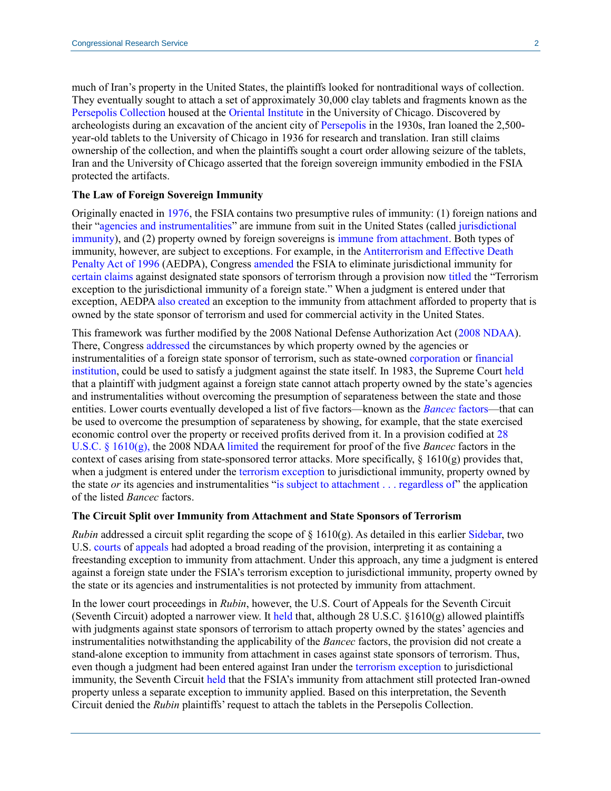much of Iran's property in the United States, the plaintiffs looked for nontraditional ways of collection. They eventually sought to attach a set of approximately 30,000 clay tablets and fragments known as the [Persepolis Collection](https://oi.uchicago.edu/collections/tablet-collection-and-tablet-room) housed at the [Oriental Institute](https://oi.uchicago.edu/) in the University of Chicago. Discovered by archeologists during an excavation of the ancient city of [Persepolis](https://earthobservatory.nasa.gov/IOTD/view.php?id=44336) in the 1930s, Iran loaned the 2,500 year-old tablets to the University of Chicago in 1936 for research and translation. Iran still claims ownership of the collection, and when the plaintiffs sought a court order allowing seizure of the tablets, Iran and the University of Chicago asserted that the foreign sovereign immunity embodied in the FSIA protected the artifacts.

#### **The Law of Foreign Sovereign Immunity**

Originally enacted in [1976,](https://www.gpo.gov/fdsys/pkg/STATUTE-90/pdf/STATUTE-90-Pg2891.pdf) the FSIA contains two presumptive rules of immunity: (1) foreign nations and their ["agencies and instrumentalities"](https://www.law.cornell.edu/uscode/text/28/1603) are immune from suit in the United States (called [jurisdictional](https://www.law.cornell.edu/uscode/text/28/1604)  [immunity\)](https://www.law.cornell.edu/uscode/text/28/1604), and (2) property owned by foreign sovereigns is [immune from attachment.](https://www.law.cornell.edu/uscode/text/28/1609) Both types of immunity, however, are subject to exceptions. For example, in th[e Antiterrorism and Effective Death](https://www.gpo.gov/fdsys/pkg/PLAW-104publ132/pdf/PLAW-104publ132.pdf)  [Penalty Act of 1996](https://www.gpo.gov/fdsys/pkg/PLAW-104publ132/pdf/PLAW-104publ132.pdf) (AEDPA), Congress [amended](https://www.gpo.gov/fdsys/pkg/PLAW-104publ132/pdf/PLAW-104publ132.pdf#page=29) the FSIA to eliminate jurisdictional immunity for [certain claims](https://www.law.cornell.edu/uscode/text/28/1605A) against designated state sponsors of terrorism through a provision no[w titled](https://www.law.cornell.edu/uscode/text/28/1605A) the "Terrorism exception to the jurisdictional immunity of a foreign state." When a judgment is entered under that exception, AEDP[A also created](https://www.gpo.gov/fdsys/pkg/PLAW-104publ132/pdf/PLAW-104publ132.pdf#page=30) an exception to the immunity from attachment afforded to property that is owned by the state sponsor of terrorism and used for commercial activity in the United States.

This framework was further modified by the 2008 National Defense Authorization Act [\(2008 NDAA\)](https://www.congress.gov/110/plaws/publ181/PLAW-110publ181.pdf). There, Congress [addressed](https://www.congress.gov/110/plaws/publ181/PLAW-110publ181.pdf#page=341) the circumstances by which property owned by the agencies or instrumentalities of a foreign state sponsor of terrorism, such as state-owned [corporation](https://www.courtlistener.com/opinion/2095916/geveke-co-intern-v-kompania-di-awa-etc/) or [financial](http://openjurist.org/792/f2d/587/riedel-v-bancam-sa)  [institution,](http://openjurist.org/792/f2d/587/riedel-v-bancam-sa) could be used to satisfy a judgment against the state itself. In 1983, the Supreme Court [held](https://www.law.cornell.edu/supremecourt/text/462/611) that a plaintiff with judgment against a foreign state cannot attach property owned by the state's agencies and instrumentalities without overcoming the presumption of separateness between the state and those entities. Lower courts eventually developed a list of five factors—known as the *[Bancec](https://cdn.ca9.uscourts.gov/datastore/opinions/2016/02/22/13-15442.pdf#page=7)* factors—that can be used to overcome the presumption of separateness by showing, for example, that the state exercised economic control over the property or received profits derived from it. In a provision codified at [28](https://www.law.cornell.edu/uscode/text/28/1610)  [U.S.C. § 1610\(g\),](https://www.law.cornell.edu/uscode/text/28/1610) the 2008 NDAA [limited](https://www.congress.gov/110/plaws/publ181/PLAW-110publ181.pdf#page=341) the requirement for proof of the five *Bancec* factors in the context of cases arising from state-sponsored terror attacks. More specifically,  $\S 1610(g)$  provides that, when a judgment is entered under th[e terrorism exception](https://www.law.cornell.edu/uscode/text/28/1605A) to jurisdictional immunity, property owned by the state *or* its agencies and instrumentalities ["is subject to attachment . . . regardless of"](https://www.law.cornell.edu/uscode/text/28/1610) the application of the listed *Bancec* factors.

#### **The Circuit Split over Immunity from Attachment and State Sponsors of Terrorism**

*Rubin* addressed a circuit split regarding the scope of  $\S$  1610(g). As detailed in this earlier [Sidebar,](http://www.crs.gov/LegalSidebar/details/1687) two U.S. [courts](https://cdn.ca9.uscourts.gov/datastore/opinions/2016/06/14/13-15442.pdf) of [appeals](https://www.cadc.uscourts.gov/internet/opinions.nsf/D35ACE5F0E9673C085258003005094AE/$file/14-7193.pdf) had adopted a broad reading of the provision, interpreting it as containing a freestanding exception to immunity from attachment. Under this approach, any time a judgment is entered against a foreign state under the FSIA's terrorism exception to jurisdictional immunity, property owned by the state or its agencies and instrumentalities is not protected by immunity from attachment.

In the lower court proceedings in *Rubin*, however, the U.S. Court of Appeals for the Seventh Circuit (Seventh Circuit) adopted a narrower view. It [held](http://media.ca7.uscourts.gov/cgi-bin/rssExec.pl?Submit=Display&Path=Y2016/D07-19/C:14-1935:J:Sykes:aut:T:fnOp:N:1795036:S:0) that, although 28 U.S.C.  $\S 1610(g)$  allowed plaintiffs with judgments against state sponsors of terrorism to attach property owned by the states' agencies and instrumentalities notwithstanding the applicability of the *Bancec* factors, the provision did not create a stand-alone exception to immunity from attachment in cases against state sponsors of terrorism. Thus, even though a judgment had been entered against Iran under the [terrorism exception](https://www.law.cornell.edu/uscode/text/28/1605A) to jurisdictional immunity, the Seventh Circuit [held](http://media.ca7.uscourts.gov/cgi-bin/rssExec.pl?Submit=Display&Path=Y2016/D07-19/C:14-1935:J:Sykes:aut:T:fnOp:N:1795036:S:0) that the FSIA's immunity from attachment still protected Iran-owned property unless a separate exception to immunity applied. Based on this interpretation, the Seventh Circuit denied the *Rubin* plaintiffs' request to attach the tablets in the Persepolis Collection.